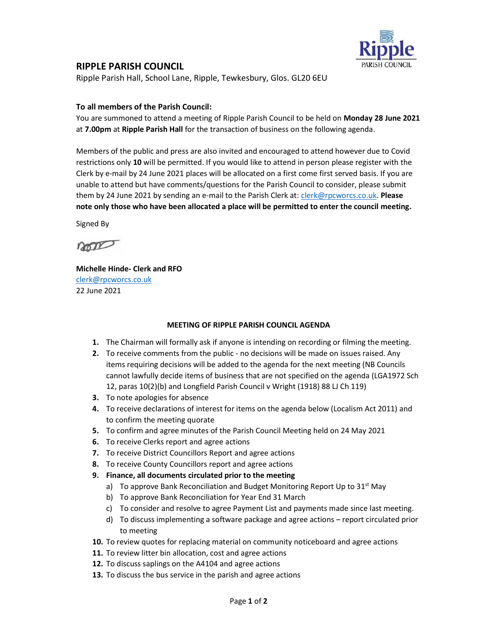

## RIPPLE PARISH COUNCIL

Ripple Parish Hall, School Lane, Ripple, Tewkesbury, Glos. GL20 6EU

## To all members of the Parish Council:

You are summoned to attend a meeting of Ripple Parish Council to be held on Monday 28 June 2021 at 7.00pm at Ripple Parish Hall for the transaction of business on the following agenda.

Members of the public and press are also invited and encouraged to attend however due to Covid restrictions only 10 will be permitted. If you would like to attend in person please register with the Clerk by e-mail by 24 June 2021 places will be allocated on a first come first served basis. If you are unable to attend but have comments/questions for the Parish Council to consider, please submit them by 24 June 2021 by sending an e-mail to the Parish Clerk at: clerk@rpcworcs.co.uk. Please note only those who have been allocated a place will be permitted to enter the council meeting.

Signed By

non

Michelle Hinde- Clerk and RFO clerk@rpcworcs.co.uk 22 June 2021

## MEETING OF RIPPLE PARISH COUNCIL AGENDA

- 1. The Chairman will formally ask if anyone is intending on recording or filming the meeting.
- 2. To receive comments from the public no decisions will be made on issues raised. Any items requiring decisions will be added to the agenda for the next meeting (NB Councils cannot lawfully decide items of business that are not specified on the agenda (LGA1972 Sch 12, paras 10(2)(b) and Longfield Parish Council v Wright (1918) 88 LJ Ch 119)
- 3. To note apologies for absence
- 4. To receive declarations of interest for items on the agenda below (Localism Act 2011) and to confirm the meeting quorate
- 5. To confirm and agree minutes of the Parish Council Meeting held on 24 May 2021
- 6. To receive Clerks report and agree actions
- 7. To receive District Councillors Report and agree actions
- 8. To receive County Councillors report and agree actions
- 9. Finance, all documents circulated prior to the meeting
	- a) To approve Bank Reconciliation and Budget Monitoring Report Up to  $31<sup>st</sup>$  May
	- b) To approve Bank Reconciliation for Year End 31 March
	- c) To consider and resolve to agree Payment List and payments made since last meeting.
	- d) To discuss implementing a software package and agree actions report circulated prior to meeting
- 10. To review quotes for replacing material on community noticeboard and agree actions
- 11. To review litter bin allocation, cost and agree actions
- 12. To discuss saplings on the A4104 and agree actions
- 13. To discuss the bus service in the parish and agree actions